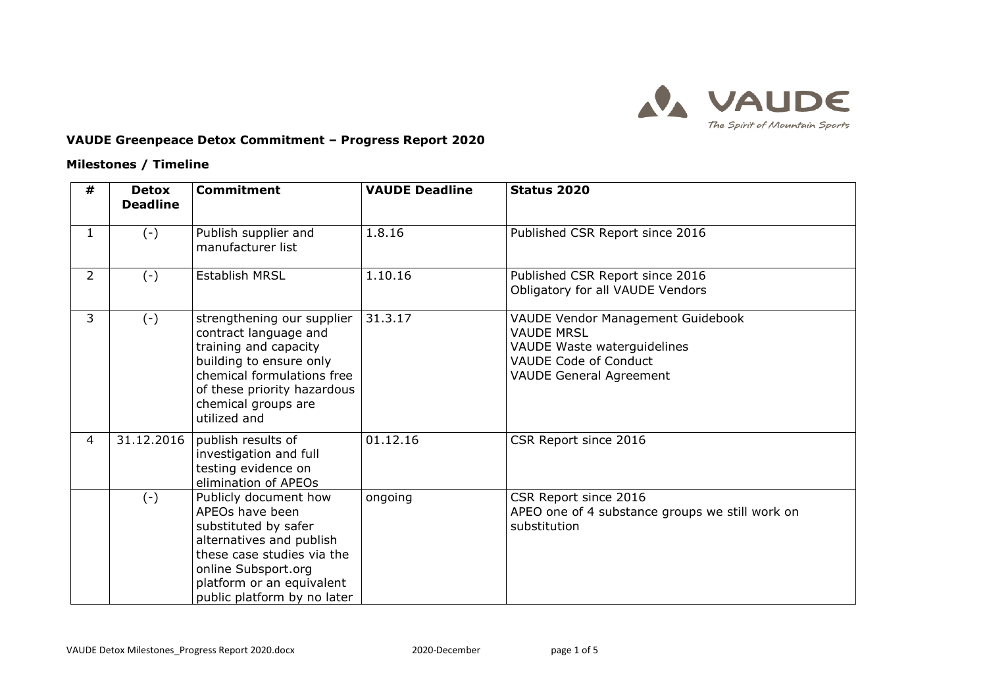

## **VAUDE Greenpeace Detox Commitment – Progress Report 2020**

## **Milestones / Timeline**

| #              | <b>Detox</b><br><b>Deadline</b> | <b>Commitment</b>                                                                                                                                                                                             | <b>VAUDE Deadline</b> | <b>Status 2020</b>                                                                                                                        |
|----------------|---------------------------------|---------------------------------------------------------------------------------------------------------------------------------------------------------------------------------------------------------------|-----------------------|-------------------------------------------------------------------------------------------------------------------------------------------|
| $\mathbf{1}$   | $(-)$                           | Publish supplier and<br>manufacturer list                                                                                                                                                                     | 1.8.16                | Published CSR Report since 2016                                                                                                           |
| $\overline{2}$ | $(-)$                           | <b>Establish MRSL</b>                                                                                                                                                                                         | 1.10.16               | Published CSR Report since 2016<br>Obligatory for all VAUDE Vendors                                                                       |
| 3              | $(-)$                           | strengthening our supplier<br>contract language and<br>training and capacity<br>building to ensure only<br>chemical formulations free<br>of these priority hazardous<br>chemical groups are<br>utilized and   | 31.3.17               | VAUDE Vendor Management Guidebook<br><b>VAUDE MRSL</b><br>VAUDE Waste waterguidelines<br>VAUDE Code of Conduct<br>VAUDE General Agreement |
| 4              | 31.12.2016                      | publish results of<br>investigation and full<br>testing evidence on<br>elimination of APEOs                                                                                                                   | 01.12.16              | CSR Report since 2016                                                                                                                     |
|                | $(-)$                           | Publicly document how<br>APEOs have been<br>substituted by safer<br>alternatives and publish<br>these case studies via the<br>online Subsport.org<br>platform or an equivalent<br>public platform by no later | ongoing               | CSR Report since 2016<br>APEO one of 4 substance groups we still work on<br>substitution                                                  |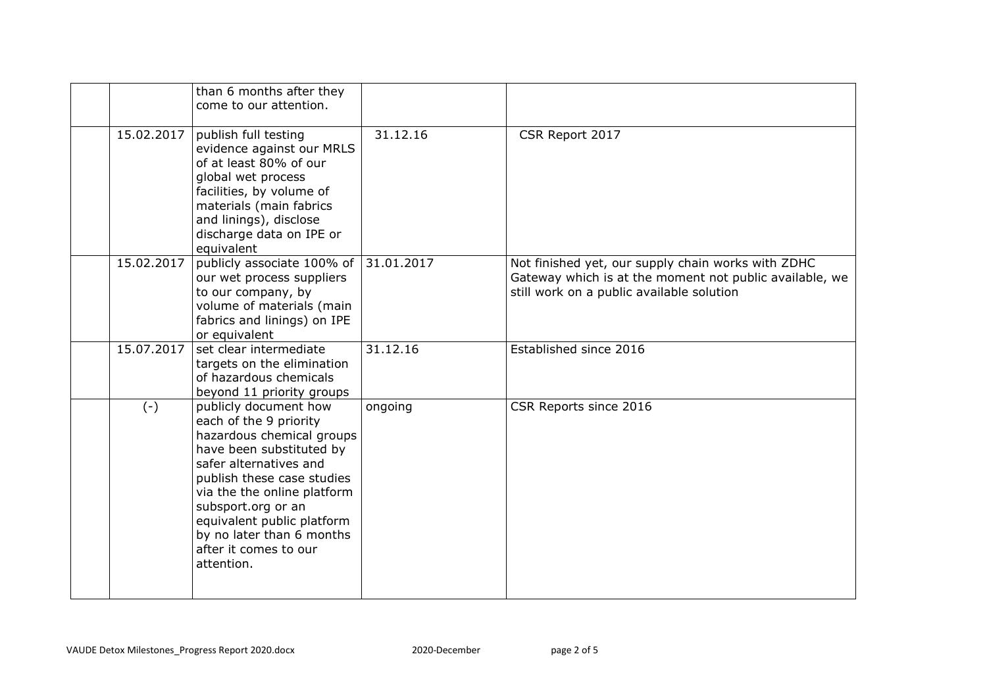|            | than 6 months after they<br>come to our attention.                                                                                                                                                                                                                                                                      |          |                                                                                                                                                            |
|------------|-------------------------------------------------------------------------------------------------------------------------------------------------------------------------------------------------------------------------------------------------------------------------------------------------------------------------|----------|------------------------------------------------------------------------------------------------------------------------------------------------------------|
| 15.02.2017 | publish full testing<br>evidence against our MRLS<br>of at least 80% of our<br>global wet process<br>facilities, by volume of<br>materials (main fabrics<br>and linings), disclose<br>discharge data on IPE or<br>equivalent                                                                                            | 31.12.16 | CSR Report 2017                                                                                                                                            |
| 15.02.2017 | publicly associate 100% of $ 31.01.2017$<br>our wet process suppliers<br>to our company, by<br>volume of materials (main<br>fabrics and linings) on IPE<br>or equivalent                                                                                                                                                |          | Not finished yet, our supply chain works with ZDHC<br>Gateway which is at the moment not public available, we<br>still work on a public available solution |
| 15.07.2017 | set clear intermediate<br>targets on the elimination<br>of hazardous chemicals<br>beyond 11 priority groups                                                                                                                                                                                                             | 31.12.16 | Established since 2016                                                                                                                                     |
| $(-)$      | publicly document how<br>each of the 9 priority<br>hazardous chemical groups<br>have been substituted by<br>safer alternatives and<br>publish these case studies<br>via the the online platform<br>subsport.org or an<br>equivalent public platform<br>by no later than 6 months<br>after it comes to our<br>attention. | ongoing  | CSR Reports since 2016                                                                                                                                     |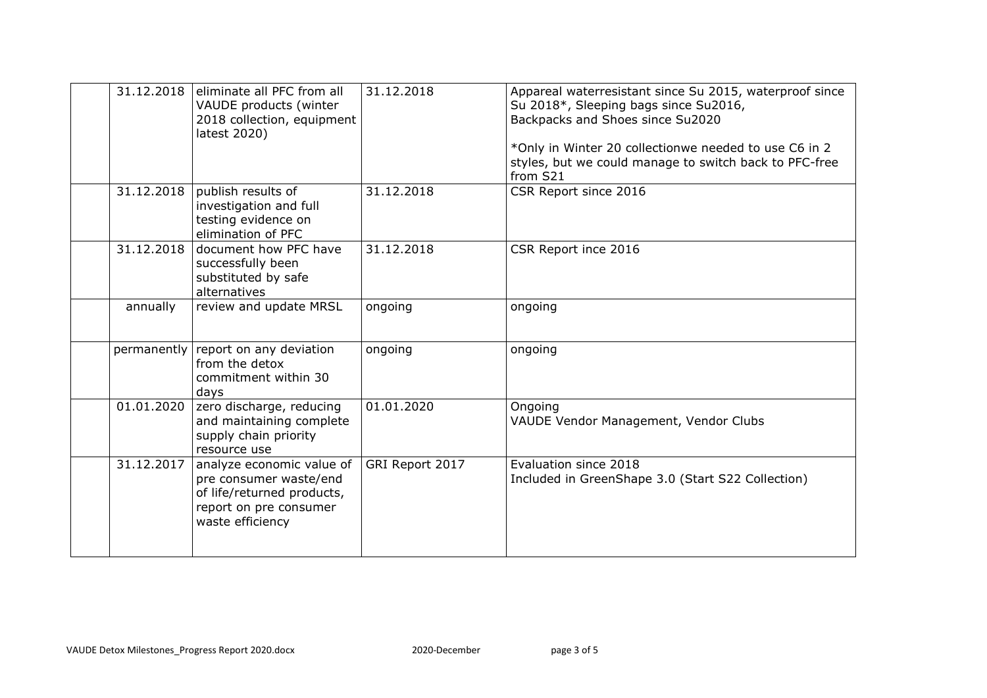| 31.12.2018 | eliminate all PFC from all<br>VAUDE products (winter<br>2018 collection, equipment<br>latest 2020)                              | 31.12.2018      | Appareal waterresistant since Su 2015, waterproof since<br>Su 2018*, Sleeping bags since Su2016,<br>Backpacks and Shoes since Su2020<br>*Only in Winter 20 collectionwe needed to use C6 in 2<br>styles, but we could manage to switch back to PFC-free<br>from S21 |
|------------|---------------------------------------------------------------------------------------------------------------------------------|-----------------|---------------------------------------------------------------------------------------------------------------------------------------------------------------------------------------------------------------------------------------------------------------------|
| 31.12.2018 | publish results of<br>investigation and full<br>testing evidence on<br>elimination of PFC                                       | 31.12.2018      | CSR Report since 2016                                                                                                                                                                                                                                               |
| 31.12.2018 | document how PFC have<br>successfully been<br>substituted by safe<br>alternatives                                               | 31.12.2018      | CSR Report ince 2016                                                                                                                                                                                                                                                |
| annually   | review and update MRSL                                                                                                          | ongoing         | ongoing                                                                                                                                                                                                                                                             |
|            | permanently report on any deviation<br>from the detox<br>commitment within 30<br>days                                           | ongoing         | ongoing                                                                                                                                                                                                                                                             |
| 01.01.2020 | zero discharge, reducing<br>and maintaining complete<br>supply chain priority<br>resource use                                   | 01.01.2020      | Ongoing<br>VAUDE Vendor Management, Vendor Clubs                                                                                                                                                                                                                    |
| 31.12.2017 | analyze economic value of<br>pre consumer waste/end<br>of life/returned products,<br>report on pre consumer<br>waste efficiency | GRI Report 2017 | Evaluation since 2018<br>Included in GreenShape 3.0 (Start S22 Collection)                                                                                                                                                                                          |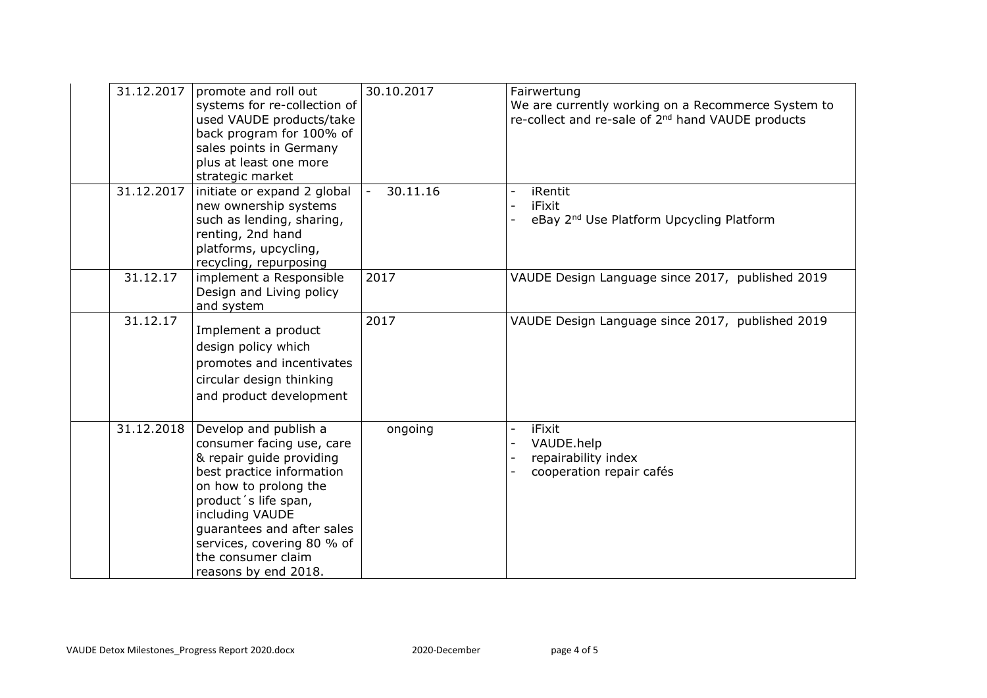| 31.12.2017 | promote and roll out<br>systems for re-collection of<br>used VAUDE products/take<br>back program for 100% of<br>sales points in Germany<br>plus at least one more<br>strategic market                                                                                                     | 30.10.2017           | Fairwertung<br>We are currently working on a Recommerce System to<br>re-collect and re-sale of 2 <sup>nd</sup> hand VAUDE products |
|------------|-------------------------------------------------------------------------------------------------------------------------------------------------------------------------------------------------------------------------------------------------------------------------------------------|----------------------|------------------------------------------------------------------------------------------------------------------------------------|
| 31.12.2017 | initiate or expand 2 global<br>new ownership systems<br>such as lending, sharing,<br>renting, 2nd hand<br>platforms, upcycling,<br>recycling, repurposing                                                                                                                                 | 30.11.16<br>$\omega$ | iRentit<br>$\overline{a}$<br>iFixit<br>eBay 2 <sup>nd</sup> Use Platform Upcycling Platform                                        |
| 31.12.17   | implement a Responsible<br>Design and Living policy<br>and system                                                                                                                                                                                                                         | 2017                 | VAUDE Design Language since 2017, published 2019                                                                                   |
| 31.12.17   | Implement a product<br>design policy which<br>promotes and incentivates<br>circular design thinking<br>and product development                                                                                                                                                            | 2017                 | VAUDE Design Language since 2017, published 2019                                                                                   |
| 31.12.2018 | Develop and publish a<br>consumer facing use, care<br>& repair guide providing<br>best practice information<br>on how to prolong the<br>product's life span,<br>including VAUDE<br>quarantees and after sales<br>services, covering 80 % of<br>the consumer claim<br>reasons by end 2018. | ongoing              | iFixit<br>$\overline{\phantom{a}}$<br>VAUDE.help<br>repairability index<br>cooperation repair cafés                                |